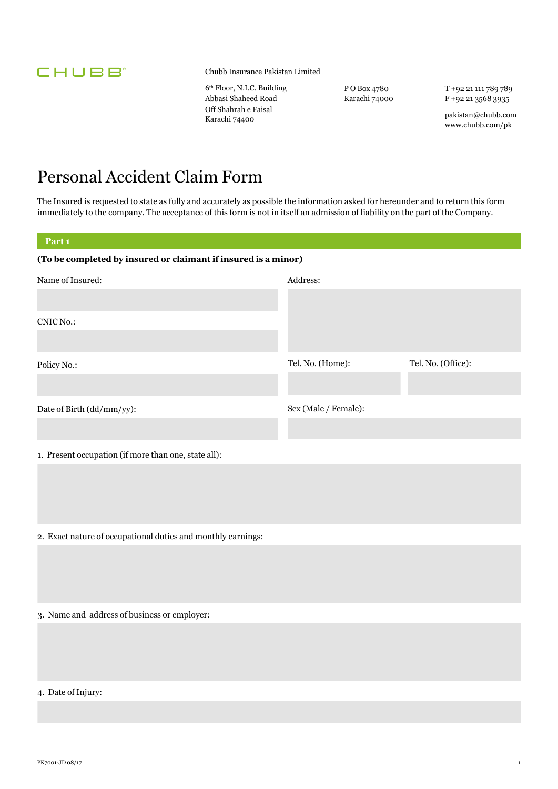

Chubb Insurance Pakistan Limited

6th Floor, N.I.C. Building Abbasi Shaheed Road Off Shahrah e Faisal Karachi 74400

P O Box 4780 Karachi 74000 T +92 21 111 789 789 F +92 21 3568 3935

pakistan@chubb.com www.chubb.com/pk

## Personal Accident Claim Form

The Insured is requested to state as fully and accurately as possible the information asked for hereunder and to return this form immediately to the company. The acceptance of this form is not in itself an admission of liability on the part of the Company.

| Part <sub>1</sub>                                              |                      |                    |  |  |
|----------------------------------------------------------------|----------------------|--------------------|--|--|
| (To be completed by insured or claimant if insured is a minor) |                      |                    |  |  |
| Name of Insured:                                               | Address:             |                    |  |  |
|                                                                |                      |                    |  |  |
| CNIC No.:                                                      |                      |                    |  |  |
|                                                                |                      |                    |  |  |
| Policy No.:                                                    | Tel. No. (Home):     | Tel. No. (Office): |  |  |
|                                                                |                      |                    |  |  |
| Date of Birth (dd/mm/yy):                                      | Sex (Male / Female): |                    |  |  |
|                                                                |                      |                    |  |  |
| 1. Present occupation (if more than one, state all):           |                      |                    |  |  |
|                                                                |                      |                    |  |  |
|                                                                |                      |                    |  |  |
|                                                                |                      |                    |  |  |
| 2. Exact nature of occupational duties and monthly earnings:   |                      |                    |  |  |
|                                                                |                      |                    |  |  |
|                                                                |                      |                    |  |  |
| 3. Name and address of business or employer:                   |                      |                    |  |  |
|                                                                |                      |                    |  |  |
|                                                                |                      |                    |  |  |
|                                                                |                      |                    |  |  |

4. Date of Injury: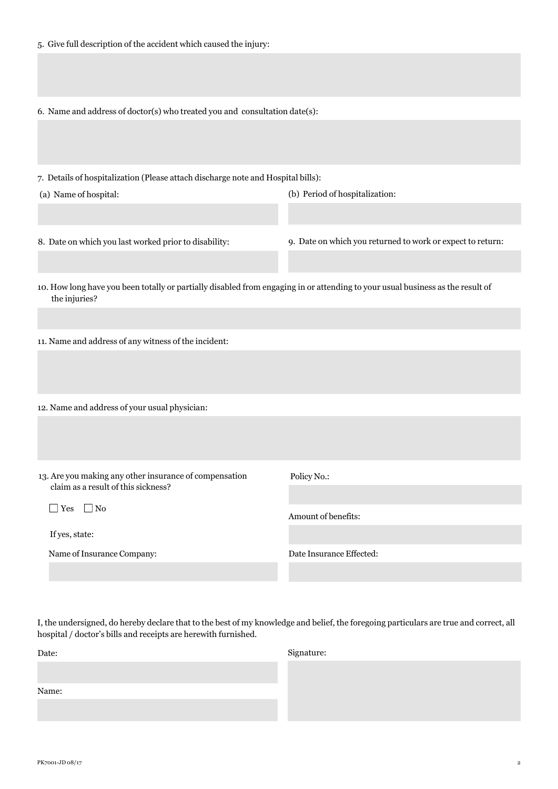|  |  |  |  |  |  | 6. Name and address of doctor(s) who treated you and consultation date(s): |
|--|--|--|--|--|--|----------------------------------------------------------------------------|
|--|--|--|--|--|--|----------------------------------------------------------------------------|

7. Details of hospitalization (Please attach discharge note and Hospital bills):

(a) Name of hospital:

(b) Period of hospitalization:

8. Date on which you last worked prior to disability:

9. Date on which you returned to work or expect to return:

- 10. How long have you been totally or partially disabled from engaging in or attending to your usual business as the result of the injuries?
- 11. Name and address of any witness of the incident:

|  | 12. Name and address of your usual physician: |  |  |  |
|--|-----------------------------------------------|--|--|--|
|  |                                               |  |  |  |

13. Are you making any other insurance of compensation claim as a result of this sickness?

■ Yes ■ No

| If yes, state: |  |
|----------------|--|
|----------------|--|

Name of Insurance Company:

Policy No.:

Amount of benefits:

Date Insurance Effected:

I, the undersigned, do hereby declare that to the best of my knowledge and belief, the foregoing particulars are true and correct, all hospital / doctor's bills and receipts are herewith furnished.

| Date: | Signature: |
|-------|------------|
|       |            |
| Name: |            |
|       |            |
|       |            |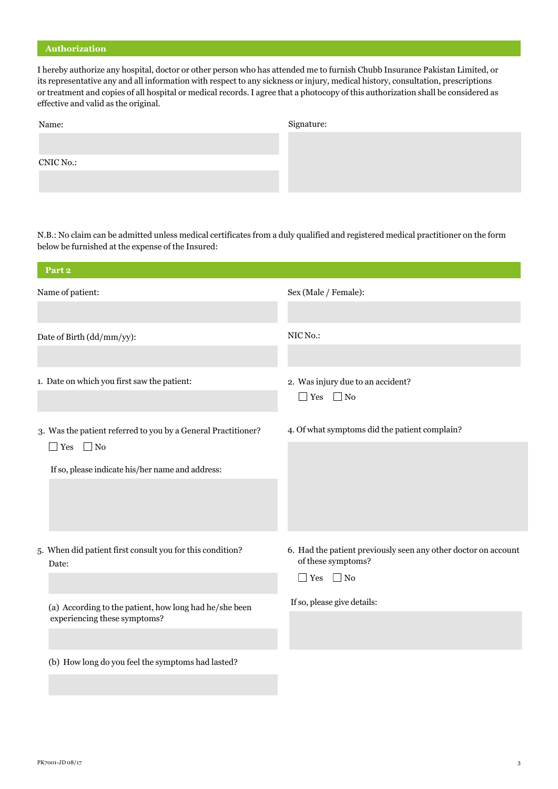#### **Authorization**

I hereby authorize any hospital, doctor or other person who has attended me to furnish Chubb Insurance Pakistan Limited, or its representative any and all information with respect to any sickness or injury, medical history, consultation, prescriptions or treatment and copies of all hospital or medical records. I agree that a photocopy of this authorization shall be considered as effective and valid as the original.

| Name:     | Signature: |
|-----------|------------|
|           |            |
| CNIC No.: |            |
|           |            |
|           |            |

N.B.: No claim can be admitted unless medical certificates from a duly qualified and registered medical practitioner on the form below be furnished at the expense of the Insured:

| Part <sub>2</sub>                                                                      |                                                                                                              |
|----------------------------------------------------------------------------------------|--------------------------------------------------------------------------------------------------------------|
| Name of patient:                                                                       | Sex (Male / Female):                                                                                         |
| Date of Birth (dd/mm/yy):                                                              | NIC No.:                                                                                                     |
| 1. Date on which you first saw the patient:                                            | 2. Was injury due to an accident?<br>$\Box$ Yes $\Box$ No                                                    |
| 3. Was the patient referred to you by a General Practitioner?                          | 4. Of what symptoms did the patient complain?                                                                |
| $\Box$ Yes<br>$\Box$ No<br>If so, please indicate his/her name and address:            |                                                                                                              |
| 5. When did patient first consult you for this condition?<br>Date:                     | 6. Had the patient previously seen any other doctor on account<br>of these symptoms?<br>$\Box$ Yes $\Box$ No |
| (a) According to the patient, how long had he/she been<br>experiencing these symptoms? | If so, please give details:                                                                                  |
| (b) How long do you feel the symptoms had lasted?                                      |                                                                                                              |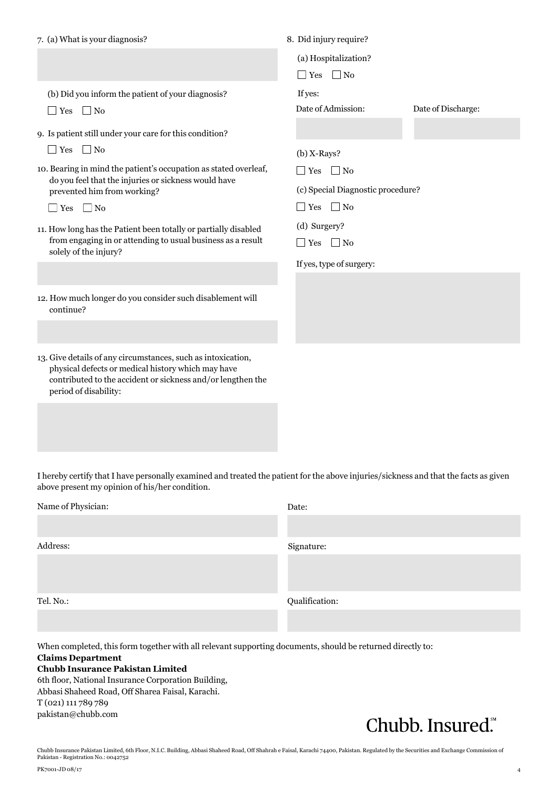| 7. (a) What is your diagnosis?                                                                                                                                                         | 8. Did injury require?                 |                    |  |  |
|----------------------------------------------------------------------------------------------------------------------------------------------------------------------------------------|----------------------------------------|--------------------|--|--|
|                                                                                                                                                                                        | (a) Hospitalization?                   |                    |  |  |
|                                                                                                                                                                                        | $\Box$ Yes $\Box$ No                   |                    |  |  |
| (b) Did you inform the patient of your diagnosis?                                                                                                                                      | If yes:                                |                    |  |  |
| $\Box$ No<br>$\Box$ Yes                                                                                                                                                                | Date of Admission:                     | Date of Discharge: |  |  |
| 9. Is patient still under your care for this condition?                                                                                                                                |                                        |                    |  |  |
| $\Box$ No<br>$\Box$ Yes                                                                                                                                                                | $(b)$ X-Rays?                          |                    |  |  |
| 10. Bearing in mind the patient's occupation as stated overleaf,                                                                                                                       | $\Box$ Yes $\Box$ No                   |                    |  |  |
| do you feel that the injuries or sickness would have<br>prevented him from working?                                                                                                    | (c) Special Diagnostic procedure?      |                    |  |  |
| $\Box$ Yes $\Box$ No                                                                                                                                                                   | $\Box$ Yes $\Box$ No                   |                    |  |  |
| 11. How long has the Patient been totally or partially disabled                                                                                                                        | (d) Surgery?                           |                    |  |  |
| from engaging in or attending to usual business as a result<br>solely of the injury?                                                                                                   | $\Box$ Yes $\Box$ No                   |                    |  |  |
|                                                                                                                                                                                        | If yes, type of surgery:               |                    |  |  |
|                                                                                                                                                                                        |                                        |                    |  |  |
| 12. How much longer do you consider such disablement will<br>continue?                                                                                                                 |                                        |                    |  |  |
|                                                                                                                                                                                        |                                        |                    |  |  |
| 13. Give details of any circumstances, such as intoxication,                                                                                                                           |                                        |                    |  |  |
| physical defects or medical history which may have                                                                                                                                     |                                        |                    |  |  |
| contributed to the accident or sickness and/or lengthen the<br>period of disability:                                                                                                   |                                        |                    |  |  |
|                                                                                                                                                                                        |                                        |                    |  |  |
|                                                                                                                                                                                        |                                        |                    |  |  |
|                                                                                                                                                                                        |                                        |                    |  |  |
|                                                                                                                                                                                        |                                        |                    |  |  |
| I hereby certify that I have personally examined and treated the patient for the above injuries/sickness and that the facts as given<br>above present my opinion of his/her condition. |                                        |                    |  |  |
| Mama of Dhysician                                                                                                                                                                      | $\Gamma$ <sub>0</sub> + <sub>0</sub> . |                    |  |  |

| Name of Physician: | Date:          |
|--------------------|----------------|
| Address:           | Signature:     |
|                    |                |
| Tel. No.:          | Qualification: |
|                    |                |

When completed, this form together with all relevant supporting documents, should be returned directly to: **Claims Department Chubb Insurance Pakistan Limited**

### 6th floor, National Insurance Corporation Building, Abbasi Shaheed Road, Off Sharea Faisal, Karachi. T (021) 111 789 789 pakistan@chubb.com

## Chubb. Insured.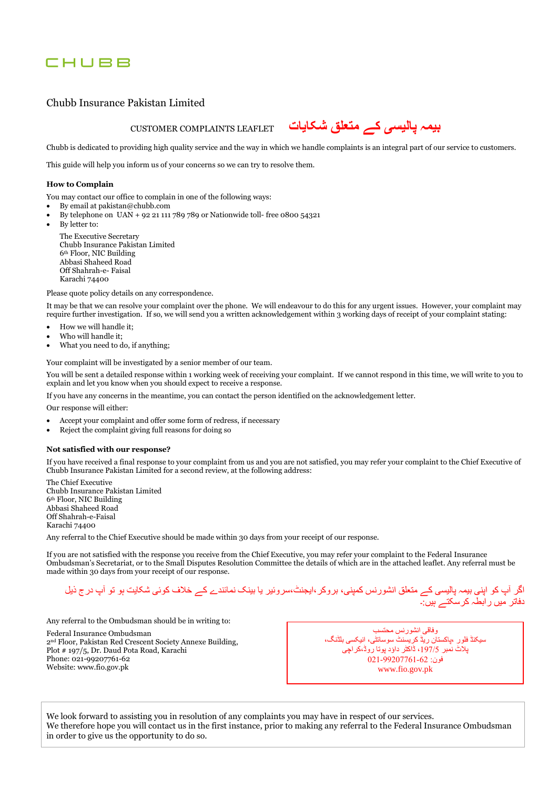### CHUBB

#### Chubb Insurance Pakistan Limited

**بیمہ پالیسی کے متعلق شکایات** LEAFLET COMPLAINTS CUSTOMER

Chubb is dedicated to providing high quality service and the way in which we handle complaints is an integral part of our service to customers.

This guide will help you inform us of your concerns so we can try to resolve them.

#### **How to Complain**

You may contact our office to complain in one of the following ways:

- By email at pakistan@chubb.com
- By telephone on UAN + 92 21 111 789 789 or Nationwide toll- free 0800 54321
- By letter to:

The Executive Secretary Chubb Insurance Pakistan Limited 6th Floor, NIC Building Abbasi Shaheed Road Off Shahrah-e- Faisal Karachi 74400

Please quote policy details on any correspondence.

It may be that we can resolve your complaint over the phone. We will endeavour to do this for any urgent issues. However, your complaint may require further investigation. If so, we will send you a written acknowledgement within 3 working days of receipt of your complaint stating:

- How we will handle it;
- Who will handle it;
- What you need to do, if anything;

Your complaint will be investigated by a senior member of our team.

You will be sent a detailed response within 1 working week of receiving your complaint. If we cannot respond in this time, we will write to you to explain and let you know when you should expect to receive a response.

If you have any concerns in the meantime, you can contact the person identified on the acknowledgement letter.

Our response will either:

- Accept your complaint and offer some form of redress, if necessary
- Reject the complaint giving full reasons for doing so

#### **Not satisfied with our response?**

If you have received a final response to your complaint from us and you are not satisfied, you may refer your complaint to the Chief Executive of Chubb Insurance Pakistan Limited for a second review, at the following address:

The Chief Executive Chubb Insurance Pakistan Limited 6th Floor, NIC Building Abbasi Shaheed Road Off Shahrah-e-Faisal Karachi 74400

Any referral to the Chief Executive should be made within 30 days from your receipt of our response.

If you are not satisfied with the response you receive from the Chief Executive, you may refer your complaint to the Federal Insurance Ombudsman's Secretariat, or to the Small Disputes Resolution Committee the details of which are in the attached leaflet. Any referral must be made within 30 days from your receipt of our response.

اگر آپ کو اپنی بیمہ پالیسی کے متعلق انشورنس کمپنی، بروکر،ایجنٹ،سروئیر یا بینک نمائندے کے خالف کوئی شکایت ہو تو آپ درج ذیل دفاتر میں رابطہ کرسکتے ہیں:۔

Any referral to the Ombudsman should be in writing to:

Federal Insurance Ombudsman 2nd Floor, Pakistan Red Crescent Society Annexe Building, Plot # 197/5, Dr. Daud Pota Road, Karachi Phone: 021-99207761-62 Website: www.fio.gov.pk

وفاقی انشورنس محتسب سیکنڈ فلور ،پاکستان ریڈ کریسنٹ سوسائٹی، انیکسی بلڈنگ، پالٹ نمبر ،197/5 ڈاکٹر داؤد پوتا روڈ،کراچی فون: 021-99207761-62 www.fio.gov.pk

We look forward to assisting you in resolution of any complaints you may have in respect of our services. We therefore hope you will contact us in the first instance, prior to making any referral to the Federal Insurance Ombudsman in order to give us the opportunity to do so.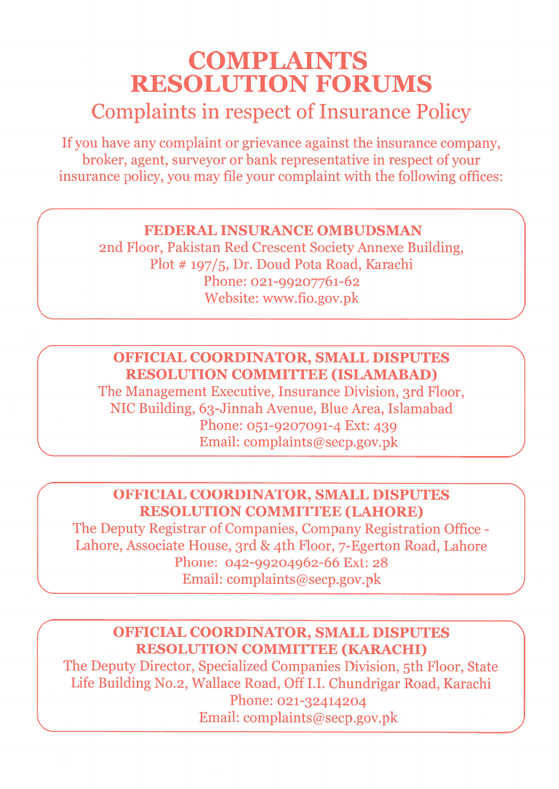# **COMPLAINTS RESOLUTION FORUMS Complaints in respect of Insurance Policy**

If you have any complaint or grievance against the insurance company, broker, agent, surveyor or bank representative in respect of your insurance policy, you may file your complaint with the following offices:

### **FEDERAL INSURANCE OMBUDSMAN**

2nd Floor, Pakistan Red Crescent Society Annexe Building, Plot # 197/5, Dr. Doud Pota Road, Karachi Phone: 021-99207761-62 Website: www.fio.gov.pk

## **OFFICIAL COORDINATOR, SMALL DISPUTES RESOLUTION COMMITTEE (ISLAMABAD)**

The Management Executive, Insurance Division, 3rd Floor, NIC Building, 63-Jinnah Avenue, Blue Area, Islamabad Phone: 051-9207091-4 Ext: 439 Email: complaints@secp.gov.pk

## OFFICIAL COORDINATOR, SMALL DISPUTES **RESOLUTION COMMITTEE (LAHORE)**

The Deputy Registrar of Companies, Company Registration Office -Lahore, Associate House, 3rd & 4th Floor, 7-Egerton Road, Lahore Phone: 042-99204962-66 Ext: 28 Email: complaints@secp.gov.pk

## **OFFICIAL COORDINATOR. SMALL DISPUTES RESOLUTION COMMITTEE (KARACHI)**

The Deputy Director, Specialized Companies Division, 5th Floor, State Life Building No.2, Wallace Road, Off I.I. Chundrigar Road, Karachi Phone: 021-32414204 Email: complaints@secp.gov.pk